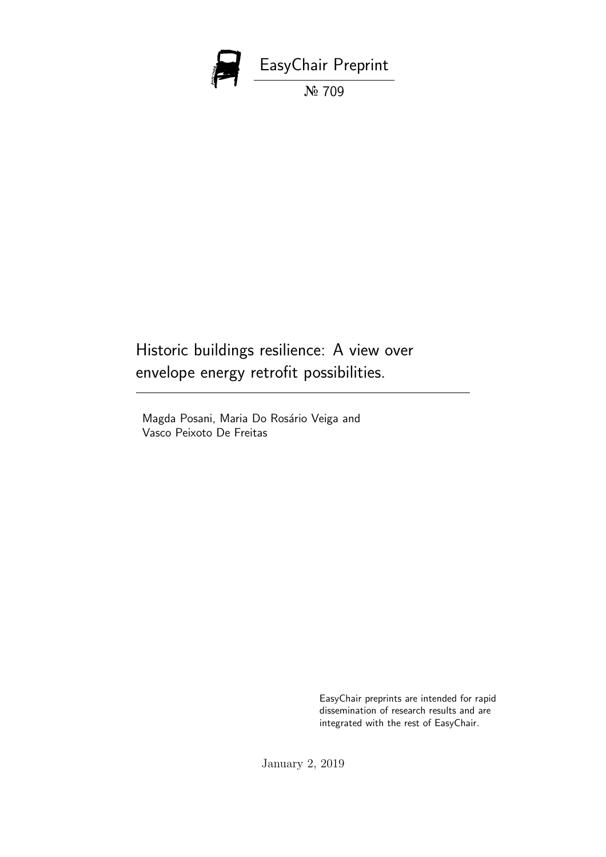

Historic buildings resilience: A view over envelope energy retrofit possibilities.

Magda Posani, Maria Do Rosário Veiga and Vasco Peixoto De Freitas

> EasyChair preprints are intended for rapid dissemination of research results and are integrated with the rest of EasyChair.

January 2, 2019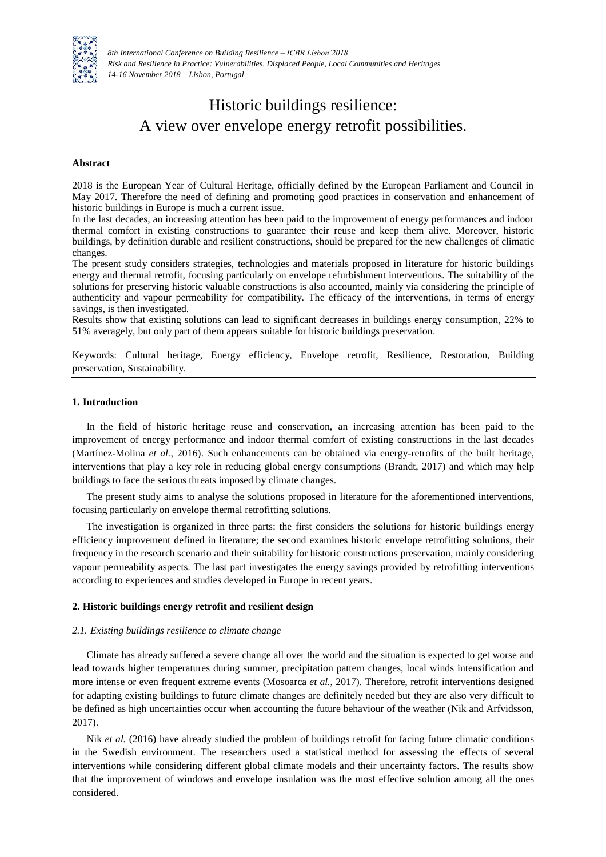

*8th International Conference on Building Resilience – ICBR Lisbon'2018 Risk and Resilience in Practice: Vulnerabilities, Displaced People, Local Communities and Heritages 14-16 November 2018 – Lisbon, Portugal*

# Historic buildings resilience: A view over envelope energy retrofit possibilities.

## **Abstract**

2018 is the European Year of Cultural Heritage, officially defined by the European Parliament and Council in May 2017. Therefore the need of defining and promoting good practices in conservation and enhancement of historic buildings in Europe is much a current issue.

In the last decades, an increasing attention has been paid to the improvement of energy performances and indoor thermal comfort in existing constructions to guarantee their reuse and keep them alive. Moreover, historic buildings, by definition durable and resilient constructions, should be prepared for the new challenges of climatic changes.

The present study considers strategies, technologies and materials proposed in literature for historic buildings energy and thermal retrofit, focusing particularly on envelope refurbishment interventions. The suitability of the solutions for preserving historic valuable constructions is also accounted, mainly via considering the principle of authenticity and vapour permeability for compatibility. The efficacy of the interventions, in terms of energy savings, is then investigated.

Results show that existing solutions can lead to significant decreases in buildings energy consumption, 22% to 51% averagely, but only part of them appears suitable for historic buildings preservation.

Keywords: Cultural heritage, Energy efficiency, Envelope retrofit, Resilience, Restoration, Building preservation, Sustainability.

# **1. Introduction**

In the field of historic heritage reuse and conservation, an increasing attention has been paid to the improvement of energy performance and indoor thermal comfort of existing constructions in the last decades (Martínez-Molina *et al.*, 2016). Such enhancements can be obtained via energy-retrofits of the built heritage, interventions that play a key role in reducing global energy consumptions (Brandt, 2017) and which may help buildings to face the serious threats imposed by climate changes.

The present study aims to analyse the solutions proposed in literature for the aforementioned interventions, focusing particularly on envelope thermal retrofitting solutions.

The investigation is organized in three parts: the first considers the solutions for historic buildings energy efficiency improvement defined in literature; the second examines historic envelope retrofitting solutions, their frequency in the research scenario and their suitability for historic constructions preservation, mainly considering vapour permeability aspects. The last part investigates the energy savings provided by retrofitting interventions according to experiences and studies developed in Europe in recent years.

# **2. Historic buildings energy retrofit and resilient design**

## *2.1. Existing buildings resilience to climate change*

Climate has already suffered a severe change all over the world and the situation is expected to get worse and lead towards higher temperatures during summer, precipitation pattern changes, local winds intensification and more intense or even frequent extreme events (Mosoarca *et al.*, 2017). Therefore, retrofit interventions designed for adapting existing buildings to future climate changes are definitely needed but they are also very difficult to be defined as high uncertainties occur when accounting the future behaviour of the weather (Nik and Arfvidsson, 2017).

Nik *et al.* (2016) have already studied the problem of buildings retrofit for facing future climatic conditions in the Swedish environment. The researchers used a statistical method for assessing the effects of several interventions while considering different global climate models and their uncertainty factors. The results show that the improvement of windows and envelope insulation was the most effective solution among all the ones considered.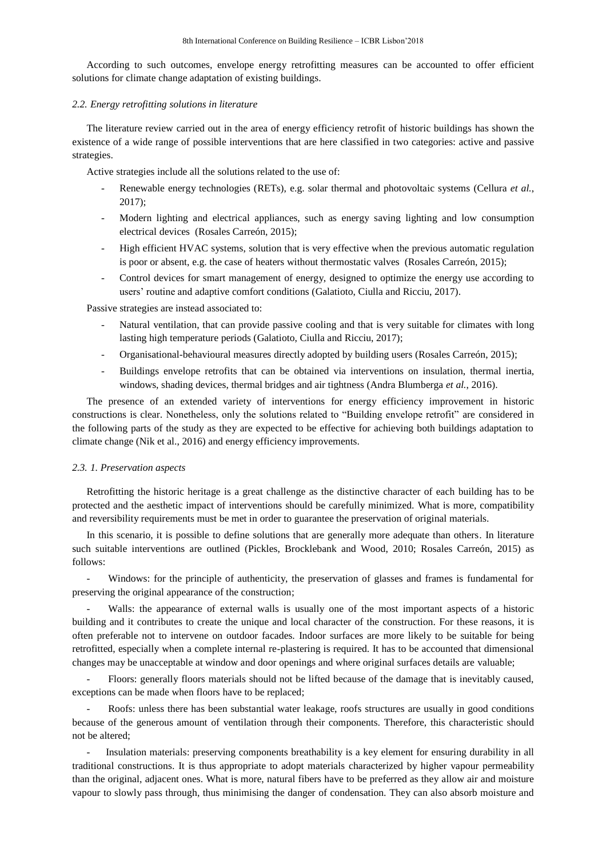According to such outcomes, envelope energy retrofitting measures can be accounted to offer efficient solutions for climate change adaptation of existing buildings.

#### *2.2. Energy retrofitting solutions in literature*

The literature review carried out in the area of energy efficiency retrofit of historic buildings has shown the existence of a wide range of possible interventions that are here classified in two categories: active and passive strategies.

Active strategies include all the solutions related to the use of:

- Renewable energy technologies (RETs), e.g. solar thermal and photovoltaic systems (Cellura *et al.*, 2017);
- Modern lighting and electrical appliances, such as energy saving lighting and low consumption electrical devices (Rosales Carreón, 2015);
- High efficient HVAC systems, solution that is very effective when the previous automatic regulation is poor or absent, e.g. the case of heaters without thermostatic valves (Rosales Carreón, 2015);
- Control devices for smart management of energy, designed to optimize the energy use according to users' routine and adaptive comfort conditions (Galatioto, Ciulla and Ricciu, 2017).

Passive strategies are instead associated to:

- Natural ventilation, that can provide passive cooling and that is very suitable for climates with long lasting high temperature periods (Galatioto, Ciulla and Ricciu, 2017);
- Organisational-behavioural measures directly adopted by building users (Rosales Carreón, 2015);
- Buildings envelope retrofits that can be obtained via interventions on insulation, thermal inertia, windows, shading devices, thermal bridges and air tightness (Andra Blumberga *et al.*, 2016).

The presence of an extended variety of interventions for energy efficiency improvement in historic constructions is clear. Nonetheless, only the solutions related to "Building envelope retrofit" are considered in the following parts of the study as they are expected to be effective for achieving both buildings adaptation to climate change (Nik et al., 2016) and energy efficiency improvements.

#### *2.3. 1. Preservation aspects*

Retrofitting the historic heritage is a great challenge as the distinctive character of each building has to be protected and the aesthetic impact of interventions should be carefully minimized. What is more, compatibility and reversibility requirements must be met in order to guarantee the preservation of original materials.

In this scenario, it is possible to define solutions that are generally more adequate than others. In literature such suitable interventions are outlined (Pickles, Brocklebank and Wood, 2010; Rosales Carreón, 2015) as follows:

- Windows: for the principle of authenticity, the preservation of glasses and frames is fundamental for preserving the original appearance of the construction;

Walls: the appearance of external walls is usually one of the most important aspects of a historic building and it contributes to create the unique and local character of the construction. For these reasons, it is often preferable not to intervene on outdoor facades. Indoor surfaces are more likely to be suitable for being retrofitted, especially when a complete internal re-plastering is required. It has to be accounted that dimensional changes may be unacceptable at window and door openings and where original surfaces details are valuable;

- Floors: generally floors materials should not be lifted because of the damage that is inevitably caused, exceptions can be made when floors have to be replaced;

- Roofs: unless there has been substantial water leakage, roofs structures are usually in good conditions because of the generous amount of ventilation through their components. Therefore, this characteristic should not be altered;

Insulation materials: preserving components breathability is a key element for ensuring durability in all traditional constructions. It is thus appropriate to adopt materials characterized by higher vapour permeability than the original, adjacent ones. What is more, natural fibers have to be preferred as they allow air and moisture vapour to slowly pass through, thus minimising the danger of condensation. They can also absorb moisture and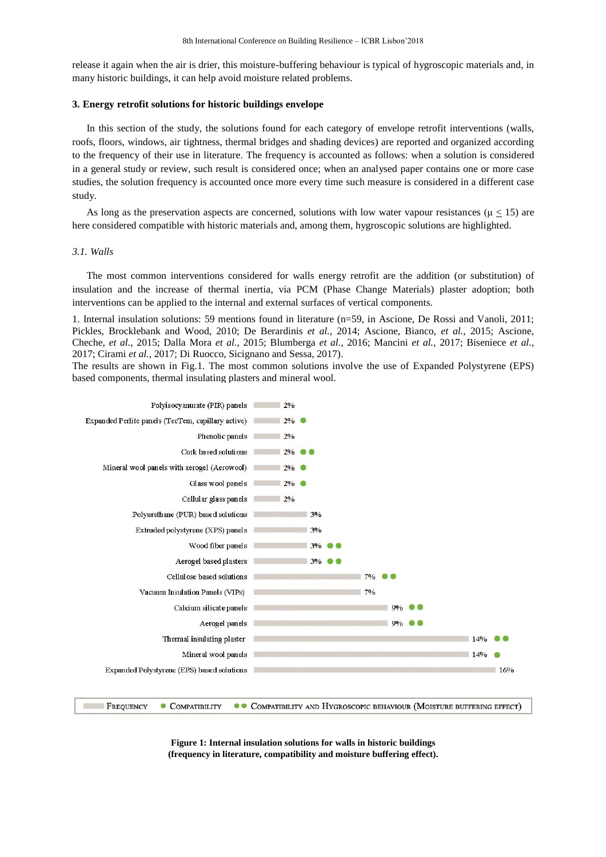release it again when the air is drier, this moisture-buffering behaviour is typical of hygroscopic materials and, in many historic buildings, it can help avoid moisture related problems.

### **3. Energy retrofit solutions for historic buildings envelope**

In this section of the study, the solutions found for each category of envelope retrofit interventions (walls, roofs, floors, windows, air tightness, thermal bridges and shading devices) are reported and organized according to the frequency of their use in literature. The frequency is accounted as follows: when a solution is considered in a general study or review, such result is considered once; when an analysed paper contains one or more case studies, the solution frequency is accounted once more every time such measure is considered in a different case study.

As long as the preservation aspects are concerned, solutions with low water vapour resistances ( $\mu \le 15$ ) are here considered compatible with historic materials and, among them, hygroscopic solutions are highlighted.

#### *3.1. Walls*

The most common interventions considered for walls energy retrofit are the addition (or substitution) of insulation and the increase of thermal inertia, via PCM (Phase Change Materials) plaster adoption; both interventions can be applied to the internal and external surfaces of vertical components.

1. Internal insulation solutions: 59 mentions found in literature (n=59, in Ascione, De Rossi and Vanoli, 2011; Pickles, Brocklebank and Wood, 2010; De Berardinis *et al.*, 2014; Ascione, Bianco, *et al.*, 2015; Ascione, Cheche, *et al.*, 2015; Dalla Mora *et al.*, 2015; Blumberga *et al.*, 2016; Mancini *et al.*, 2017; Biseniece *et al.*, 2017; Cirami *et al.*, 2017; Di Ruocco, Sicignano and Sessa, 2017).

The results are shown in Fig.1. The most common solutions involve the use of Expanded Polystyrene (EPS) based components, thermal insulating plasters and mineral wool.



**Figure 1: Internal insulation solutions for walls in historic buildings (frequency in literature, compatibility and moisture buffering effect).**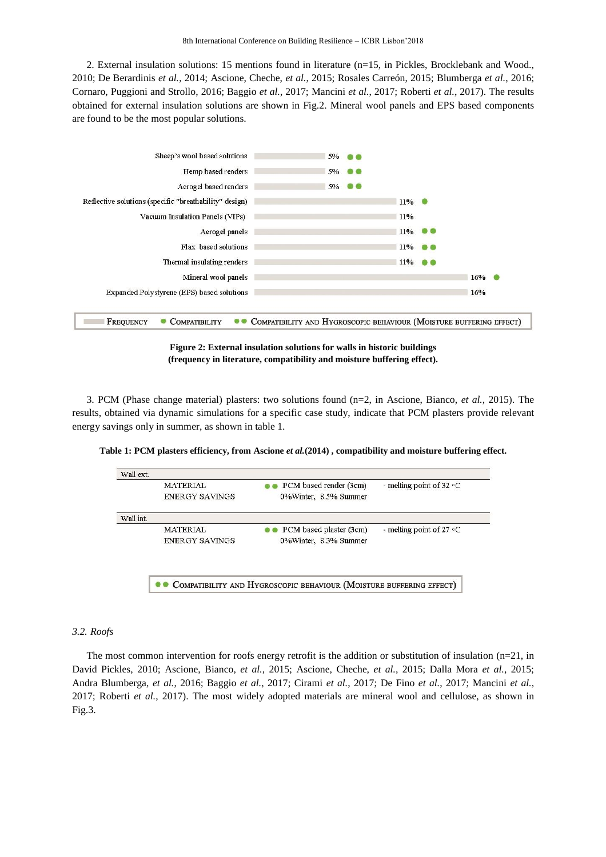2. External insulation solutions: 15 mentions found in literature (n=15, in Pickles, Brocklebank and Wood., 2010; De Berardinis *et al.*, 2014; Ascione, Cheche, *et al.*, 2015; Rosales Carreón, 2015; Blumberga *et al.*, 2016; Cornaro, Puggioni and Strollo, 2016; Baggio *et al.*, 2017; Mancini *et al.*, 2017; Roberti *et al.*, 2017). The results obtained for external insulation solutions are shown in Fig.2. Mineral wool panels and EPS based components are found to be the most popular solutions.



**Figure 2: External insulation solutions for walls in historic buildings (frequency in literature, compatibility and moisture buffering effect).**

3. PCM (Phase change material) plasters: two solutions found (n=2, in Ascione, Bianco, *et al.*, 2015). The results, obtained via dynamic simulations for a specific case study, indicate that PCM plasters provide relevant energy savings only in summer, as shown in table 1.

**Table 1: PCM plasters efficiency, from Ascione** *et al.***(2014) , compatibility and moisture buffering effect.**



## *3.2. Roofs*

The most common intervention for roofs energy retrofit is the addition or substitution of insulation (n=21, in David Pickles, 2010; Ascione, Bianco, *et al.*, 2015; Ascione, Cheche, *et al.*, 2015; Dalla Mora *et al.*, 2015; Andra Blumberga, *et al.*, 2016; Baggio *et al.*, 2017; Cirami *et al.*, 2017; De Fino *et al.*, 2017; Mancini *et al.*, 2017; Roberti *et al.*, 2017). The most widely adopted materials are mineral wool and cellulose, as shown in Fig.3.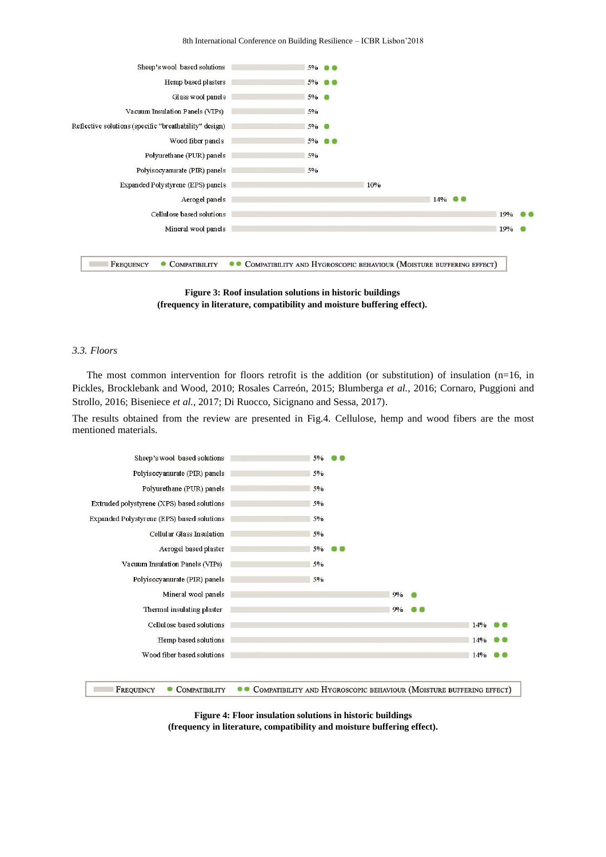

**Figure 3: Roof insulation solutions in historic buildings (frequency in literature, compatibility and moisture buffering effect).**

### *3.3. Floors*

The most common intervention for floors retrofit is the addition (or substitution) of insulation ( $n=16$ , in Pickles, Brocklebank and Wood, 2010; Rosales Carreón, 2015; Blumberga *et al.*, 2016; Cornaro, Puggioni and Strollo, 2016; Biseniece *et al.*, 2017; Di Ruocco, Sicignano and Sessa, 2017).

The results obtained from the review are presented in Fig.4. Cellulose, hemp and wood fibers are the most mentioned materials.



**Figure 4: Floor insulation solutions in historic buildings (frequency in literature, compatibility and moisture buffering effect).**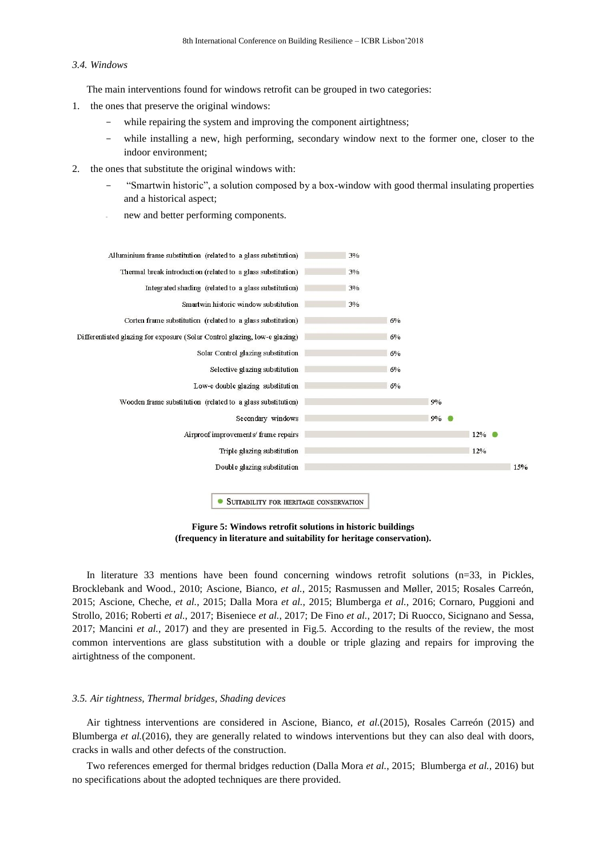#### *3.4. Windows*

The main interventions found for windows retrofit can be grouped in two categories:

- 1. the ones that preserve the original windows:
	- while repairing the system and improving the component airtightness;
	- while installing a new, high performing, secondary window next to the former one, closer to the indoor environment;
- 2. the ones that substitute the original windows with:
	- "Smartwin historic", a solution composed by a box-window with good thermal insulating properties and a historical aspect;
	- new and better performing components.



**Figure 5: Windows retrofit solutions in historic buildings (frequency in literature and suitability for heritage conservation).**

In literature 33 mentions have been found concerning windows retrofit solutions (n=33, in Pickles, Brocklebank and Wood., 2010; Ascione, Bianco, *et al.*, 2015; Rasmussen and Møller, 2015; Rosales Carreón, 2015; Ascione, Cheche, *et al.*, 2015; Dalla Mora *et al.*, 2015; Blumberga *et al.*, 2016; Cornaro, Puggioni and Strollo, 2016; Roberti *et al.*, 2017; Biseniece *et al.*, 2017; De Fino *et al.*, 2017; Di Ruocco, Sicignano and Sessa, 2017; Mancini *et al.*, 2017) and they are presented in Fig.5. According to the results of the review, the most common interventions are glass substitution with a double or triple glazing and repairs for improving the airtightness of the component.

## *3.5. Air tightness, Thermal bridges, Shading devices*

Air tightness interventions are considered in Ascione, Bianco, *et al.*(2015), Rosales Carreón (2015) and Blumberga *et al.*(2016), they are generally related to windows interventions but they can also deal with doors, cracks in walls and other defects of the construction.

Two references emerged for thermal bridges reduction (Dalla Mora *et al.*, 2015; Blumberga *et al.*, 2016) but no specifications about the adopted techniques are there provided.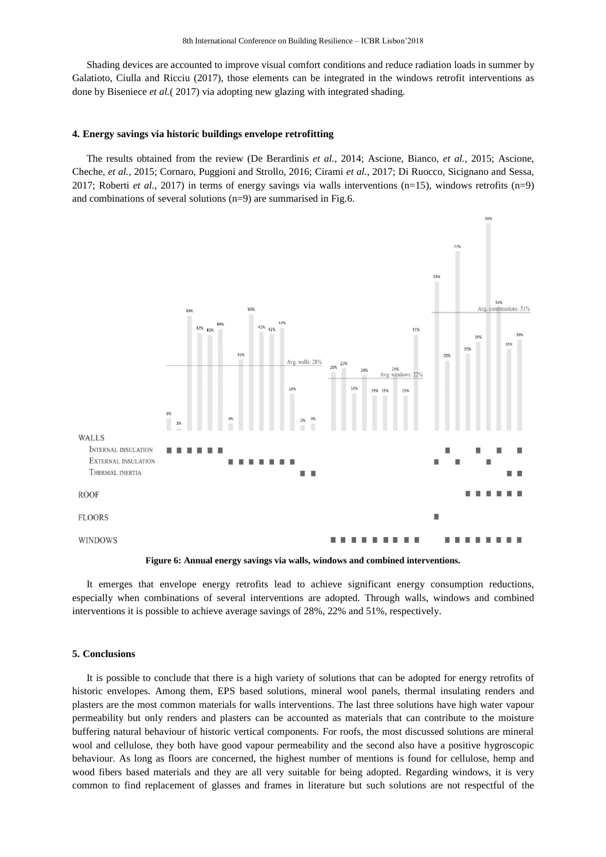Shading devices are accounted to improve visual comfort conditions and reduce radiation loads in summer by Galatioto, Ciulla and Ricciu (2017), those elements can be integrated in the windows retrofit interventions as done by Biseniece *et al.*( 2017) via adopting new glazing with integrated shading.

#### **4. Energy savings via historic buildings envelope retrofitting**

The results obtained from the review (De Berardinis *et al.*, 2014; Ascione, Bianco, *et al.*, 2015; Ascione, Cheche, *et al.*, 2015; Cornaro, Puggioni and Strollo, 2016; Cirami *et al.*, 2017; Di Ruocco, Sicignano and Sessa, 2017; Roberti *et al.*, 2017) in terms of energy savings via walls interventions (n=15), windows retrofits (n=9) and combinations of several solutions (n=9) are summarised in Fig.6.





It emerges that envelope energy retrofits lead to achieve significant energy consumption reductions, especially when combinations of several interventions are adopted. Through walls, windows and combined interventions it is possible to achieve average savings of 28%, 22% and 51%, respectively.

## **5. Conclusions**

It is possible to conclude that there is a high variety of solutions that can be adopted for energy retrofits of historic envelopes. Among them, EPS based solutions, mineral wool panels, thermal insulating renders and plasters are the most common materials for walls interventions. The last three solutions have high water vapour permeability but only renders and plasters can be accounted as materials that can contribute to the moisture buffering natural behaviour of historic vertical components. For roofs, the most discussed solutions are mineral wool and cellulose, they both have good vapour permeability and the second also have a positive hygroscopic behaviour. As long as floors are concerned, the highest number of mentions is found for cellulose, hemp and wood fibers based materials and they are all very suitable for being adopted. Regarding windows, it is very common to find replacement of glasses and frames in literature but such solutions are not respectful of the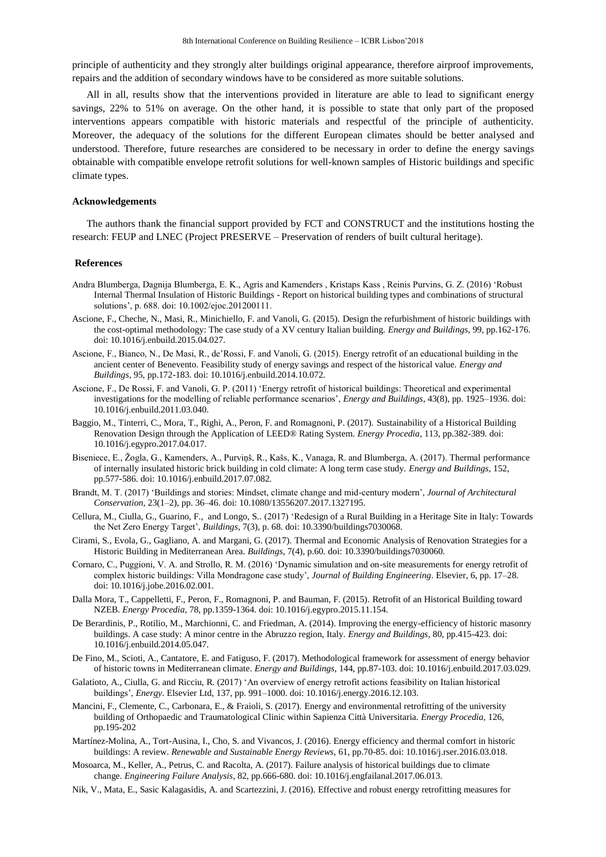principle of authenticity and they strongly alter buildings original appearance, therefore airproof improvements, repairs and the addition of secondary windows have to be considered as more suitable solutions.

All in all, results show that the interventions provided in literature are able to lead to significant energy savings, 22% to 51% on average. On the other hand, it is possible to state that only part of the proposed interventions appears compatible with historic materials and respectful of the principle of authenticity. Moreover, the adequacy of the solutions for the different European climates should be better analysed and understood. Therefore, future researches are considered to be necessary in order to define the energy savings obtainable with compatible envelope retrofit solutions for well-known samples of Historic buildings and specific climate types.

#### **Acknowledgements**

The authors thank the financial support provided by FCT and CONSTRUCT and the institutions hosting the research: FEUP and LNEC (Project PRESERVE – Preservation of renders of built cultural heritage).

## **References**

- Andra Blumberga, Dagnija Blumberga, E. K., Agris and Kamenders , Kristaps Kass , Reinis Purvins, G. Z. (2016) 'Robust Internal Thermal Insulation of Historic Buildings - Report on historical building types and combinations of structural solutions', p. 688. doi: 10.1002/ejoc.201200111.
- Ascione, F., Cheche, N., Masi, R., Minichiello, F. and Vanoli, G. (2015). Design the refurbishment of historic buildings with the cost-optimal methodology: The case study of a XV century Italian building. *Energy and Buildings*, 99, pp.162-176. doi: 10.1016/j.enbuild.2015.04.027.
- Ascione, F., Bianco, N., De Masi, R., de'Rossi, F. and Vanoli, G. (2015). Energy retrofit of an educational building in the ancient center of Benevento. Feasibility study of energy savings and respect of the historical value. *Energy and Buildings*, 95, pp.172-183. doi: 10.1016/j.enbuild.2014.10.072.
- Ascione, F., De Rossi, F. and Vanoli, G. P. (2011) 'Energy retrofit of historical buildings: Theoretical and experimental investigations for the modelling of reliable performance scenarios', *Energy and Buildings*, 43(8), pp. 1925–1936. doi: 10.1016/j.enbuild.2011.03.040.
- Baggio, M., Tinterri, C., Mora, T., Righi, A., Peron, F. and Romagnoni, P. (2017). Sustainability of a Historical Building Renovation Design through the Application of LEED® Rating System. *Energy Procedia*, 113, pp.382-389. doi: 10.1016/j.egypro.2017.04.017.
- Biseniece, E., Žogla, G., Kamenders, A., Purviņš, R., Kašs, K., Vanaga, R. and Blumberga, A. (2017). Thermal performance of internally insulated historic brick building in cold climate: A long term case study. *Energy and Buildings*, 152, pp.577-586. doi: 10.1016/j.enbuild.2017.07.082.
- Brandt, M. T. (2017) 'Buildings and stories: Mindset, climate change and mid-century modern', *Journal of Architectural Conservation*, 23(1–2), pp. 36–46. doi: 10.1080/13556207.2017.1327195.
- Cellura, M., Ciulla, G., Guarino, F., and Longo, S.*.* (2017) 'Redesign of a Rural Building in a Heritage Site in Italy: Towards the Net Zero Energy Target', *Buildings*, 7(3), p. 68. doi: 10.3390/buildings7030068.
- Cirami, S., Evola, G., Gagliano, A. and Margani, G. (2017). Thermal and Economic Analysis of Renovation Strategies for a Historic Building in Mediterranean Area. *Buildings*, 7(4), p.60. doi: 10.3390/buildings7030060.
- Cornaro, C., Puggioni, V. A. and Strollo, R. M. (2016) 'Dynamic simulation and on-site measurements for energy retrofit of complex historic buildings: Villa Mondragone case study', *Journal of Building Engineering*. Elsevier, 6, pp. 17–28. doi: 10.1016/j.jobe.2016.02.001.
- Dalla Mora, T., Cappelletti, F., Peron, F., Romagnoni, P. and Bauman, F. (2015). Retrofit of an Historical Building toward NZEB. *Energy Procedia*, 78, pp.1359-1364. doi: 10.1016/j.egypro.2015.11.154.
- De Berardinis, P., Rotilio, M., Marchionni, C. and Friedman, A. (2014). Improving the energy-efficiency of historic masonry buildings. A case study: A minor centre in the Abruzzo region, Italy. *Energy and Buildings*, 80, pp.415-423. doi: 10.1016/j.enbuild.2014.05.047.
- De Fino, M., Scioti, A., Cantatore, E. and Fatiguso, F. (2017). Methodological framework for assessment of energy behavior of historic towns in Mediterranean climate. *Energy and Buildings*, 144, pp.87-103. doi: 10.1016/j.enbuild.2017.03.029.
- Galatioto, A., Ciulla, G. and Ricciu, R. (2017) 'An overview of energy retrofit actions feasibility on Italian historical buildings', *Energy*. Elsevier Ltd, 137, pp. 991–1000. doi: 10.1016/j.energy.2016.12.103.
- Mancini, F., Clemente, C., Carbonara, E., & Fraioli, S. (2017). Energy and environmental retrofitting of the university building of Orthopaedic and Traumatological Clinic within Sapienza Città Universitaria. *Energy Procedia*, 126, pp.195-202
- Martínez-Molina, A., Tort-Ausina, I., Cho, S. and Vivancos, J. (2016). Energy efficiency and thermal comfort in historic buildings: A review. *Renewable and Sustainable Energy Reviews*, 61, pp.70-85. doi: 10.1016/j.rser.2016.03.018.
- Mosoarca, M., Keller, A., Petrus, C. and Racolta, A. (2017). Failure analysis of historical buildings due to climate change. *Engineering Failure Analysis*, 82, pp.666-680. doi: 10.1016/j.engfailanal.2017.06.013.
- Nik, V., Mata, E., Sasic Kalagasidis, A. and Scartezzini, J. (2016). Effective and robust energy retrofitting measures for